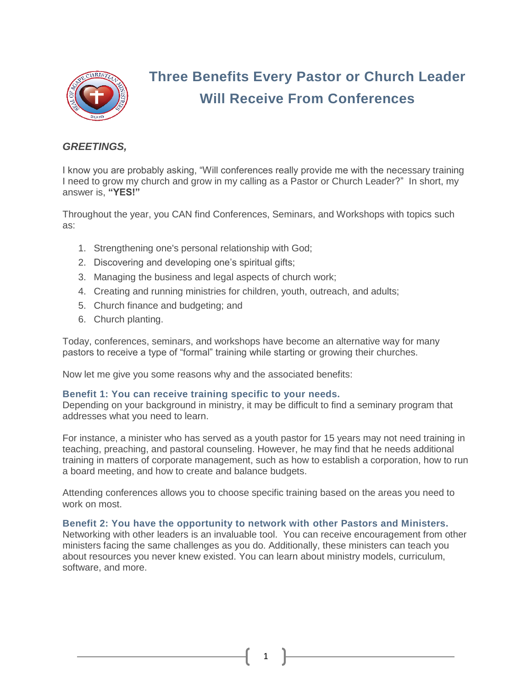

# **Three Benefits Every Pastor or Church Leader Will Receive From Conferences**

# *GREETINGS,*

I know you are probably asking, "Will conferences really provide me with the necessary training I need to grow my church and grow in my calling as a Pastor or Church Leader?" In short, my answer is, **"YES!"**

Throughout the year, you CAN find Conferences, Seminars, and Workshops with topics such as:

- 1. Strengthening one's personal relationship with God;
- 2. Discovering and developing one's spiritual gifts;
- 3. Managing the business and legal aspects of church work;
- 4. Creating and running ministries for children, youth, outreach, and adults;
- 5. Church finance and budgeting; and
- 6. Church planting.

Today, conferences, seminars, and workshops have become an alternative way for many pastors to receive a type of "formal" training while starting or growing their churches.

Now let me give you some reasons why and the associated benefits:

# **Benefit 1: You can receive training specific to your needs.**

Depending on your background in ministry, it may be difficult to find a seminary program that addresses what you need to learn.

For instance, a minister who has served as a youth pastor for 15 years may not need training in teaching, preaching, and pastoral counseling. However, he may find that he needs additional training in matters of corporate management, such as how to establish a corporation, how to run a board meeting, and how to create and balance budgets.

Attending conferences allows you to choose specific training based on the areas you need to work on most.

# **Benefit 2: You have the opportunity to network with other Pastors and Ministers.**

Networking with other leaders is an invaluable tool. You can receive encouragement from other ministers facing the same challenges as you do. Additionally, these ministers can teach you about resources you never knew existed. You can learn about ministry models, curriculum, software, and more.

1